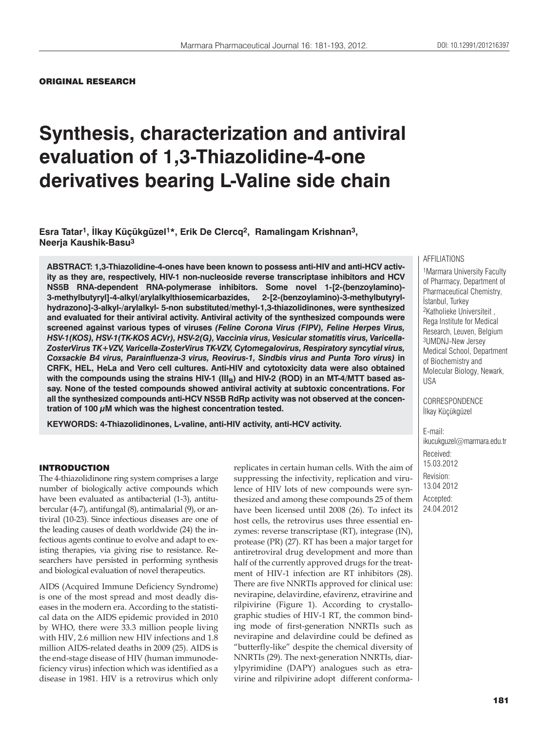## ORIGINAL RESEARCH

# **Synthesis, characterization and antiviral evaluation of 1,3-Thiazolidine-4-one derivatives bearing L-Valine side chain**

**Esra Tatar1, İlkay Küçükgüzel1\*, Erik De Clercq2, Ramalingam Krishnan3, Neerja Kaushik-Basu3**

**ABSTRACT: 1,3-Thiazolidine-4-ones have been known to possess anti-HIV and anti-HCV activity as they are, respectively, HIV-1 non-nucleoside reverse transcriptase inhibitors and HCV NS5B RNA-dependent RNA-polymerase inhibitors. Some novel 1-[2-(benzoylamino)- 3-methylbutyryl]-4-alkyl/arylalkylthiosemicarbazides, 2-[2-(benzoylamino)-3-methylbutyrylhydrazono]-3-alkyl-/arylalkyl- 5-non substituted/methyl-1,3-thiazolidinones, were synthesized and evaluated for their antiviral activity. Antiviral activity of the synthesized compounds were screened against various types of viruses** *(Feline Corona Virus (FIPV), Feline Herpes Virus, HSV-1(KOS), HSV-1(TK-KOS ACVr), HSV-2(G), Vaccinia virus, Vesicular stomatitis virus, Varicella-ZosterVirus TK+VZV, Varicella-ZosterVirus TK-VZV, Cytomegalovirus, Respiratory syncytial virus, Coxsackie B4 virus, Parainfluenza-3 virus, Reovirus-1, Sindbis virus and Punta Toro virus)* **in CRFK, HEL, HeLa and Vero cell cultures. Anti-HIV and cytotoxicity data were also obtained**  with the compounds using the strains HIV-1 (III<sub>B</sub>) and HIV-2 (ROD) in an MT-4/MTT based as**say. None of the tested compounds showed antiviral activity at subtoxic concentrations. For all the synthesized compounds anti-HCV NS5B RdRp activity was not observed at the concentration of 100 μM which was the highest concentration tested.**

**KEYWORDS: 4-Thiazolidinones, L-valine, anti-HIV activity, anti-HCV activity.**

### INTRODUCTION

The 4-thiazolidinone ring system comprises a large number of biologically active compounds which have been evaluated as antibacterial (1-3), antitubercular (4-7), antifungal (8), antimalarial (9), or antiviral (10-23). Since infectious diseases are one of the leading causes of death worldwide (24) the infectious agents continue to evolve and adapt to existing therapies, via giving rise to resistance. Researchers have persisted in performing synthesis and biological evaluation of novel therapeutics.

AIDS (Acquired Immune Deficiency Syndrome) is one of the most spread and most deadly diseases in the modern era. According to the statistical data on the AIDS epidemic provided in 2010 by WHO, there were 33.3 million people living with HIV, 2.6 million new HIV infections and 1.8 million AIDS-related deaths in 2009 (25). AIDS is the end-stage disease of HIV (human immunodeficiency virus) infection which was identified as a disease in 1981. HIV is a retrovirus which only

replicates in certain human cells. With the aim of suppressing the infectivity, replication and virulence of HIV lots of new compounds were synthesized and among these compounds 25 of them have been licensed until 2008 (26). To infect its host cells, the retrovirus uses three essential enzymes: reverse transcriptase (RT), integrase (IN), protease (PR) (27). RT has been a major target for antiretroviral drug development and more than half of the currently approved drugs for the treatment of HIV-1 infection are RT inhibitors (28). There are five NNRTIs approved for clinical use: nevirapine, delavirdine, efavirenz, etravirine and rilpivirine (Figure 1). According to crystallographic studies of HIV-1 RT, the common binding mode of first-generation NNRTIs such as nevirapine and delavirdine could be defined as "butterfly-like" despite the chemical diversity of NNRTIs (29). The next-generation NNRTIs, diarylpyrimidine (DAPY) analogues such as etravirine and rilpivirine adopt different conforma-

## AFFILIATIONS

1Marmara University Faculty of Pharmacy, Department of Pharmaceutical Chemistry, İstanbul, Turkey 2Katholieke Universiteit , Rega Institute for Medical Research, Leuven, Belgium 3UMDNJ-New Jersey Medical School, Department of Biochemistry and Molecular Biology, Newark, USA

CORRESPONDENCE İlkay Küçükgüzel

E-mail: ikucukguzel@marmara.edu.tr Received: 15.03.2012 Revision: 13.04 2012 Accepted: 24.04.2012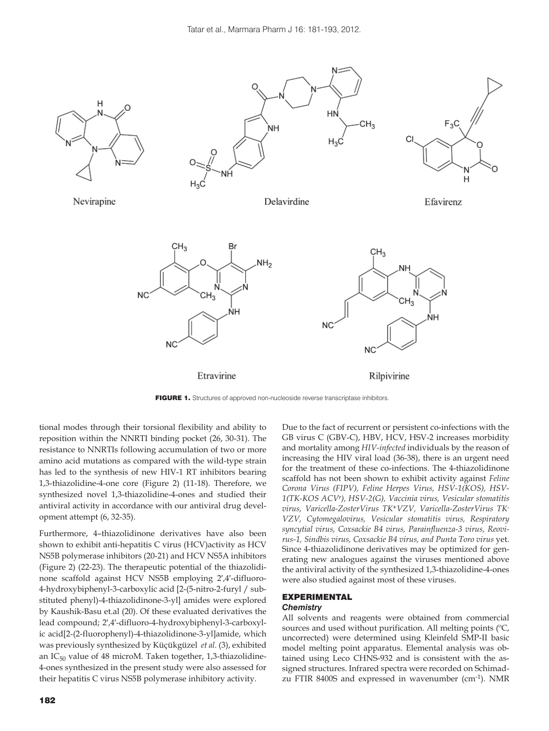

FIGURE 1. Structures of approved non-nucleoside reverse transcriptase inhibitors.

tional modes through their torsional flexibility and ability to reposition within the NNRTI binding pocket (26, 30-31). The resistance to NNRTIs following accumulation of two or more amino acid mutations as compared with the wild-type strain has led to the synthesis of new HIV-1 RT inhibitors bearing 1,3-thiazolidine-4-one core (Figure 2) (11-18). Therefore, we synthesized novel 1,3-thiazolidine-4-ones and studied their antiviral activity in accordance with our antiviral drug development attempt (6, 32-35).

Furthermore, 4–thiazolidinone derivatives have also been shown to exhibit anti-hepatitis C virus (HCV)activity as HCV NS5B polymerase inhibitors (20-21) and HCV NS5A inhibitors (Figure 2) (22-23). The therapeutic potential of the thiazolidinone scaffold against HCV NS5B employing 2′,4′-difluoro-4-hydroxybiphenyl-3-carboxylic acid [2-(5-nitro-2-furyl / substituted phenyl)-4-thiazolidinone-3-yl] amides were explored by Kaushik-Basu et.al (20). Of these evaluated derivatives the lead compound; 2′,4′-difluoro-4-hydroxybiphenyl-3-carboxylic acid[2-(2-fluorophenyl)-4-thiazolidinone-3-yl]amide, which was previously synthesized by Küçükgüzel *et al.* (3), exhibited an  $IC_{50}$  value of 48 microM. Taken together, 1,3-thiazolidine-4-ones synthesized in the present study were also assessed for their hepatitis C virus NS5B polymerase inhibitory activity.

Due to the fact of recurrent or persistent co-infections with the GB virus C (GBV-C), HBV, HCV, HSV-2 increases morbidity and mortality among *HIV-infected* individuals by the reason of increasing the HIV viral load (36-38), there is an urgent need for the treatment of these co-infections. The 4-thiazolidinone scaffold has not been shown to exhibit activity against *Feline Corona Virus (FIPV), Feline Herpes Virus, HSV-1(KOS), HSV-1(TK-KOS ACVr), HSV-2(G), Vaccinia virus, Vesicular stomatitis virus, Varicella-ZosterVirus TK+VZV, Varicella-ZosterVirus TK-VZV, Cytomegalovirus, Vesicular stomatitis virus, Respiratory syncytial virus, Coxsackie B4 virus, Parainfluenza-3 virus, Reovirus-1, Sindbis virus, Coxsackie B4 virus, and Punta Toro virus* yet. Since 4-thiazolidinone derivatives may be optimized for generating new analogues against the viruses mentioned above the antiviral activity of the synthesized 1,3-thiazolidine-4-ones were also studied against most of these viruses.

# EXPERIMENTAL

# *Chemistry*

All solvents and reagents were obtained from commercial sources and used without purification. All melting points (ºC, uncorrected) were determined using Kleinfeld SMP-II basic model melting point apparatus. Elemental analysis was obtained using Leco CHNS-932 and is consistent with the assigned structures. Infrared spectra were recorded on Schimadzu FTIR 8400S and expressed in wavenumber (cm-1). NMR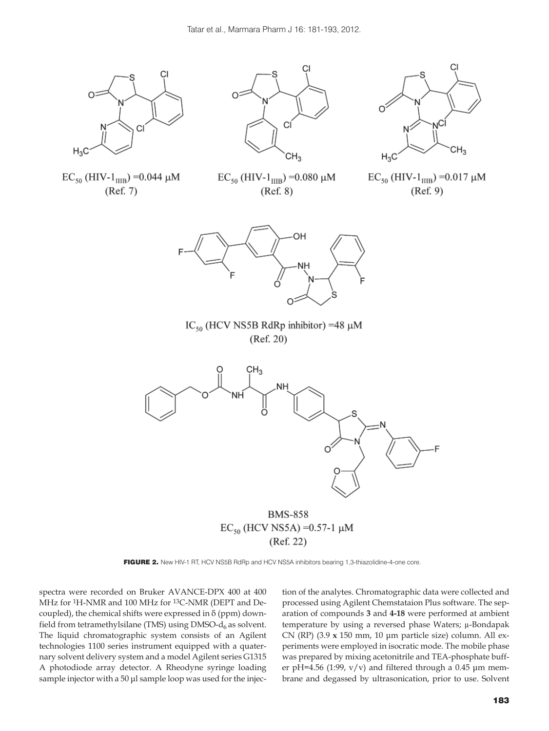

 $EC_{50}$  (HIV-1<sub>IIIB</sub>) = 0.044 µM  $(Ref. 7)$ 



 $EC_{50}$  (HIV-1<sub>IIIB</sub>) = 0.080 µM

 $(Ref. 8)$ 



 $EC_{50}$  (HIV-1<sub>IIIB</sub>) = 0.017 µM  $(Ref. 9)$ 



IC<sub>50</sub> (HCV NS5B RdRp inhibitor) =48  $\mu$ M  $(Ref. 20)$ 



FIGURE 2. New HIV-1 RT, HCV NS5B RdRp and HCV NS5A inhibitors bearing 1,3-thiazolidine-4-one core.

spectra were recorded on Bruker AVANCE-DPX 400 at 400 MHz for 1H-NMR and 100 MHz for 13C-NMR (DEPT and Decoupled), the chemical shifts were expressed in  $\delta$  (ppm) downfield from tetramethylsilane (TMS) using DMSO- $d_6$  as solvent. The liquid chromatographic system consists of an Agilent technologies 1100 series instrument equipped with a quaternary solvent delivery system and a model Agilent series G1315 A photodiode array detector. A Rheodyne syringe loading sample injector with a 50 μl sample loop was used for the injection of the analytes. Chromatographic data were collected and processed using Agilent Chemstataion Plus software. The separation of compounds **3** and **4-18** were performed at ambient temperature by using a reversed phase Waters; μ-Bondapak CN (RP) (3.9 **x** 150 mm, 10 μm particle size) column. All experiments were employed in isocratic mode. The mobile phase was prepared by mixing acetonitrile and TEA-phosphate buffer pH=4.56 (1:99,  $v/v$ ) and filtered through a 0.45 µm membrane and degassed by ultrasonication, prior to use. Solvent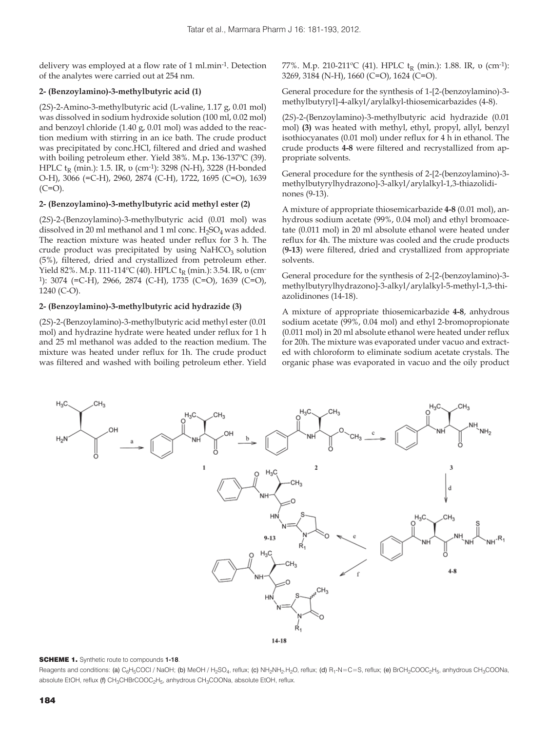delivery was employed at a flow rate of 1 ml.min-1. Detection of the analytes were carried out at 254 nm.

# **2- (Benzoylamino)-3-methylbutyric acid (1)**

(2*S*)-2-Amino-3-methylbutyric acid (L-valine, 1.17 g, 0.01 mol) was dissolved in sodium hydroxide solution (100 ml, 0.02 mol) and benzoyl chloride (1.40 g, 0.01 mol) was added to the reaction medium with stirring in an ice bath. The crude product was precipitated by conc.HCl, filtered and dried and washed with boiling petroleum ether. Yield 38%. M.p**.** 136-137ºC (39). HPLC t<sub>R</sub> (min.): 1.5. IR, υ (cm<sup>-1</sup>): 3298 (N-H), 3228 (H-bonded O-H), 3066 (=C-H), 2960, 2874 (C-H), 1722, 1695 (C=O), 1639  $(C=O)$ .

# **2- (Benzoylamino)-3-methylbutyric acid methyl ester (2)**

(2*S*)-2-(Benzoylamino)-3-methylbutyric acid (0.01 mol) was dissolved in 20 ml methanol and 1 ml conc.  $H_2SO_4$  was added. The reaction mixture was heated under reflux for 3 h. The crude product was precipitated by using  $NAHCO<sub>3</sub>$  solution (5%), filtered, dried and crystallized from petroleum ether. Yield 82%. M.p. 111-114°C (40). HPLC t<sub>R</sub> (min.): 3.54. IR, υ (cm-1): 3074 (=C-H), 2966, 2874 (C-H), 1735 (C=O), 1639 (C=O), 1240 (C-O).

# **2- (Benzoylamino)-3-methylbutyric acid hydrazide (3)**

(2*S*)-2-(Benzoylamino)-3-methylbutyric acid methyl ester (0.01 mol) and hydrazine hydrate were heated under reflux for 1 h and 25 ml methanol was added to the reaction medium. The mixture was heated under reflux for 1h. The crude product was filtered and washed with boiling petroleum ether. Yield 77%. M.p. 210-211°C (41). HPLC t<sub>R</sub> (min.): 1.88. IR, υ (cm<sup>-1</sup>): 3269, 3184 (N-H), 1660 (C=O), 1624 (C=O).

General procedure for the synthesis of 1-[2-(benzoylamino)-3methylbutyryl-4-alkyl/arylalkyl-thiosemicarbazides (4-8).

(2*S*)-2-(Benzoylamino)-3-methylbutyric acid hydrazide (0.01 mol) **(3)** was heated with methyl, ethyl, propyl, allyl, benzyl isothiocyanates (0.01 mol) under reflux for 4 h in ethanol. The crude products **4-8** were filtered and recrystallized from appropriate solvents.

General procedure for the synthesis of 2-[2-(benzoylamino)-3methylbutyrylhydrazono]-3-alkyl/arylalkyl-1,3-thiazolidinones (9-13).

A mixture of appropriate thiosemicarbazide **4-8** (0.01 mol), anhydrous sodium acetate (99%, 0.04 mol) and ethyl bromoacetate (0.011 mol) in 20 ml absolute ethanol were heated under reflux for 4h. The mixture was cooled and the crude products (**9-13**) were filtered, dried and crystallized from appropriate solvents.

General procedure for the synthesis of 2-[2-(benzoylamino)-3methylbutyrylhydrazono-3-alkyl/arylalkyl-5-methyl-1,3-thiazolidinones (14-18).

A mixture of appropriate thiosemicarbazide **4-8**, anhydrous sodium acetate (99%, 0.04 mol) and ethyl 2-bromopropionate (0.011 mol) in 20 ml absolute ethanol were heated under reflux for 20h. The mixture was evaporated under vacuo and extracted with chloroform to eliminate sodium acetate crystals. The organic phase was evaporated in vacuo and the oily product



## SCHEME 1. Synthetic route to compounds **1-18**.

Reagents and conditions: (a) C<sub>6</sub>H<sub>5</sub>COCl / NaOH; (b) MeOH / H<sub>2</sub>SO<sub>4</sub>, reflux; (c) NH<sub>2</sub>NH<sub>2</sub>.H<sub>2</sub>O, reflux; (d) R<sub>1</sub>-N=C=S, reflux; (e) BrCH<sub>2</sub>COOC<sub>2</sub>H<sub>5</sub>, anhydrous CH<sub>3</sub>COONa, absolute EtOH, reflux (f) CH<sub>3</sub>CHBrCOOC<sub>2</sub>H<sub>5</sub>, anhydrous CH<sub>3</sub>COONa, absolute EtOH, reflux.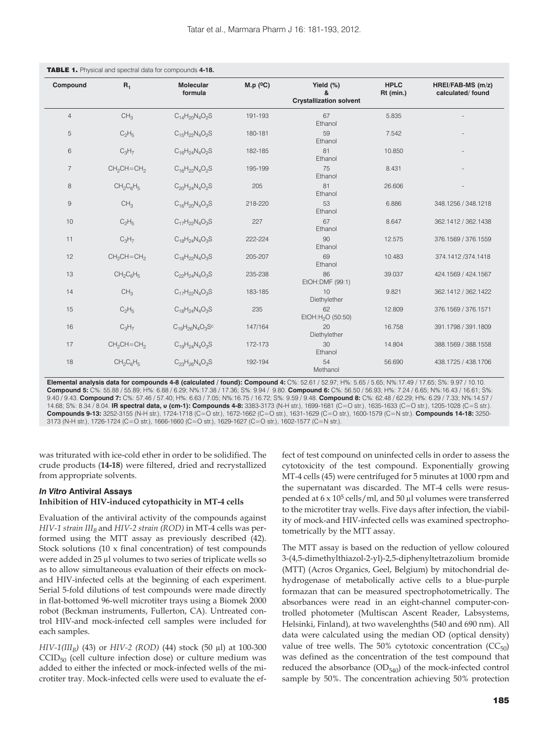| Compound       | $R_1$           | <b>Molecular</b><br>formula | M.p (°C) | Yield (%)<br>&<br><b>Crystallization solvent</b> | <b>HPLC</b><br>Rt (min.) | HREI/FAB-MS (m/z)<br>calculated/found |
|----------------|-----------------|-----------------------------|----------|--------------------------------------------------|--------------------------|---------------------------------------|
| $\overline{4}$ | CH <sub>3</sub> | $C_{14}H_{20}N_{4}O_{2}S$   | 191-193  | 67<br>Ethanol                                    | 5.835                    |                                       |
| $\overline{5}$ | $C_2H_5$        | $C_{15}H_{22}N_{4}O_{2}S$   | 180-181  | 59<br>Ethanol                                    | 7.542                    |                                       |
| 6              | $C_3H_7$        | $C_{16}H_{24}N_4O_2S$       | 182-185  | 81<br>Ethanol                                    | 10.850                   |                                       |
| $\overline{7}$ | $CH2CH=CH2$     | $C_{16}H_{22}N_{4}O_{2}S$   | 195-199  | 75<br>Ethanol                                    | 8.431                    |                                       |
| 8              | $CH_2C_6H_5$    | $C_{20}H_{24}N_{4}O_{2}S$   | 205      | 81<br>Ethanol                                    | 26.606                   |                                       |
| $\mathsf g$    | CH <sub>3</sub> | $C_{16}H_{20}N_{4}O_{3}S$   | 218-220  | 53<br>Ethanol                                    | 6.886                    | 348.1256 / 348.1218                   |
| 10             | $C_2H_5$        | $C_{17}H_{22}N_{4}O_{3}S$   | 227      | 67<br>Ethanol                                    | 8.647                    | 362.1412 / 362.1438                   |
| 11             | $C_3H_7$        | $C_{18}H_{24}N_{4}O_{3}S$   | 222-224  | 90<br>Ethanol                                    | 12.575                   | 376.1569 / 376.1559                   |
| 12             | $CH_2CH=CH_2$   | $C_{18}H_{22}N_{4}O_{3}S$   | 205-207  | 69<br>Ethanol                                    | 10.483                   | 374.1412 /374.1418                    |
| 13             | $CH_2C_6H_5$    | $C_{22}H_{24}N_{4}O_{3}S$   | 235-238  | 86<br>EtOH: DMF (99:1)                           | 39.037                   | 424.1569 / 424.1567                   |
| 14             | CH <sub>3</sub> | $C_{17}H_{22}N_4O_3S$       | 183-185  | 10<br>Diethylether                               | 9.821                    | 362.1412 / 362.1422                   |
| 15             | $C_2H_5$        | $C_{18}H_{24}N_{4}O_{3}S$   | 235      | 62<br>EtOH:H <sub>2</sub> O (50:50)              | 12.809                   | 376.1569 / 376.1571                   |
| 16             | $C_3H_7$        | $C_{19}H_{26}N_4O_3S^c$     | 147/164  | 20<br>Diethylether                               | 16.758                   | 391.1798 / 391.1809                   |
| 17             | $CH_2CH=CH_2$   | $C_{19}H_{24}N_{4}O_{3}S$   | 172-173  | 30<br>Ethanol                                    | 14.804                   | 388.1569 / 388.1558                   |
| 18             | $CH_2C_6H_5$    | $C_{23}H_{26}N_{4}O_{3}S$   | 192-194  | 54<br>Methanol                                   | 56.690                   | 438.1725 / 438.1706                   |

TABLE 1. Physical and spectral data for compounds **4-18.**

**Elemental analysis data for compounds 4-8 (calculated / found): Compound 4:** C%: 52.61 / 52.97; H%: 5.65 / 5.65; N%:17.49 / 17.65; S%: 9.97 / 10.10. **Compound 5:** C%: 55.88 / 55.89; H%: 6.88 / 6.29; N%:17.38 / 17.36; S%: 9.94 / 9.80. **Compound 6:** C%: 56.50 / 56.93; H%: 7.24 / 6.65; N%:16.43 / 16.61; S%: 9.40 / 9.43. **Compound 7:** C%: 57.46 / 57.40; H%: 6.63 / 7.05; N%:16.75 / 16.72; S%: 9.59 / 9.48. **Compound 8:** C%: 62.48 / 62.29; H%: 6.29 / 7.33; N%:14.57 / 14.68; S%: 8.34 / 8.04. **IR spectral data, υ (cm-1): Compounds 4-8:** 3383-3173 (N-H str.), 1699-1681 (C=O str.), 1635-1633 (C=O str.), 1205-1028 (C=S str.). **Compounds 9-13:** 3252-3155 (N-H str.), 1724-1718 (C=O str.), 1672-1662 (C=O str.), 1631-1629 (C=O str.), 1600-1579 (C=N str.). **Compounds 14-18:** 3250- 3173 (N-H str.), 1726-1724 (C=O str.), 1666-1660 (C=O str.), 1629-1627 (C=O str.), 1602-1577 (C=N str.).

was triturated with ice-cold ether in order to be solidified. The crude products (**14-18**) were filtered, dried and recrystallized from appropriate solvents.

## *In Vitro* **Antiviral Assays Inhibition of HIV-induced cytopathicity in MT-4 cells**

Evaluation of the antiviral activity of the compounds against *HIV-1 strain III<sub>B</sub>* and *HIV-2 strain (ROD)* in MT-4 cells was performed using the MTT assay as previously described (42). Stock solutions  $(10 \times \text{final concentration})$  of test compounds were added in 25 μl volumes to two series of triplicate wells so as to allow simultaneous evaluation of their effects on mockand HIV-infected cells at the beginning of each experiment. Serial 5-fold dilutions of test compounds were made directly in flat-bottomed 96-well microtiter trays using a Biomek 2000 robot (Beckman instruments, Fullerton, CA). Untreated control HIV-and mock-infected cell samples were included for each samples.

*HIV-1(III<sub>B</sub>)* (43) or *HIV-2 (ROD)* (44) stock (50 μl) at 100-300  $CCID<sub>50</sub>$  (cell culture infection dose) or culture medium was added to either the infected or mock-infected wells of the microtiter tray. Mock-infected cells were used to evaluate the ef-

fect of test compound on uninfected cells in order to assess the cytotoxicity of the test compound. Exponentially growing MT-4 cells (45) were centrifuged for 5 minutes at 1000 rpm and the supernatant was discarded. The MT-4 cells were resuspended at  $6 \times 10^5$  cells/ml, and  $50 \mu$ l volumes were transferred to the microtiter tray wells. Five days after infection, the viability of mock-and HIV-infected cells was examined spectrophotometrically by the MTT assay.

The MTT assay is based on the reduction of yellow coloured 3-(4,5-dimethylthiazol-2-yl)-2,5-diphenyltetrazolium bromide (MTT) (Acros Organics, Geel, Belgium) by mitochondrial dehydrogenase of metabolically active cells to a blue-purple formazan that can be measured spectrophotometrically. The absorbances were read in an eight-channel computer-controlled photometer (Multiscan Ascent Reader, Labsystems, Helsinki, Finland), at two wavelenghths (540 and 690 nm). All data were calculated using the median OD (optical density) value of tree wells. The 50% cytotoxic concentration  $(CC_{50})$ was defined as the concentration of the test compound that reduced the absorbance  $OD_{540}$  of the mock-infected control sample by 50%. The concentration achieving 50% protection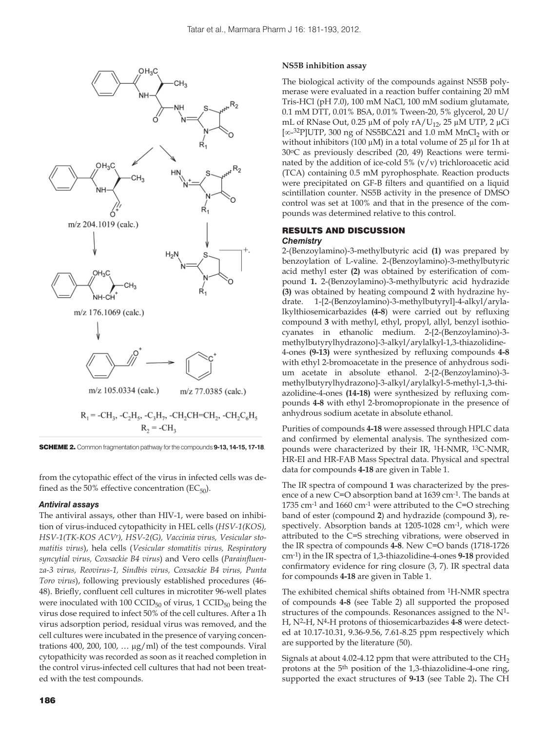

SCHEME 2. Common fragmentation pathway for the compounds **9-13, 14-15, 17-18**.

from the cytopathic effect of the virus in infected cells was defined as the 50% effective concentration ( $EC_{50}$ ).

#### *Antiviral assays*

The antiviral assays, other than HIV-1, were based on inhibition of virus-induced cytopathicity in HEL cells (*HSV-1(KOS), HSV-1(TK-KOS ACVr), HSV-2(G), Vaccinia virus, Vesicular stomatitis virus*), hela cells (*Vesicular stomatitis virus, Respiratory syncytial virus, Coxsackie B4 virus*) and Vero cells (*Parainfluenza-3 virus, Reovirus-1, Sindbis virus, Coxsackie B4 virus, Punta Toro virus*), following previously established procedures (46- 48). Briefly, confluent cell cultures in microtiter 96-well plates were inoculated with 100 CCID $_{50}$  of virus, 1 CCID $_{50}$  being the virus dose required to infect 50% of the cell cultures. After a 1h virus adsorption period, residual virus was removed, and the cell cultures were incubated in the presence of varying concentrations 400, 200, 100, ...  $\mu g/ml$  of the test compounds. Viral cytopathicity was recorded as soon as it reached completion in the control virus-infected cell cultures that had not been treated with the test compounds.

## **NS5B inhibition assay**

The biological activity of the compounds against NS5B polymerase were evaluated in a reaction buffer containing 20 mM Tris-HCl (pH 7.0), 100 mM NaCl, 100 mM sodium glutamate, 0.1 mM DTT, 0.01% BSA, 0.01% Tween-20, 5% glycerol, 20 U/ mL of RNase Out, 0.25 μM of poly rA/U<sub>12</sub>, 25 μM UTP, 2 μCi [∞-<sup>32</sup>P]UTP, 300 ng of NS5BCΔ21 and 1.0 mM MnCl<sub>2</sub> with or without inhibitors (100 μM) in a total volume of 25 μl for 1h at 30oC as previously described (20, 49) Reactions were terminated by the addition of ice-cold  $5\%$  (v/v) trichloroacetic acid (TCA) containing 0.5 mM pyrophosphate. Reaction products were precipitated on GF-B filters and quantified on a liquid scintillation counter. NS5B activity in the presence of DMSO control was set at 100% and that in the presence of the compounds was determined relative to this control.

# RESULTS AND DISCUSSION

## *Chemistry*

2-(Benzoylamino)-3-methylbutyric acid **(1)** was prepared by benzoylation of L-valine. 2-(Benzoylamino)-3-methylbutyric acid methyl ester **(2)** was obtained by esterification of compound **1.** 2-(Benzoylamino)-3-methylbutyric acid hydrazide **(3)** was obtained by heating compound **2** with hydrazine hydrate. 1-2-(Benzoylamino)-3-methylbutyryl-4-alkyl/arylalkylthiosemicarbazides **(4-8**) were carried out by refluxing compound **3** with methyl, ethyl, propyl, allyl, benzyl isothiocyanates in ethanolic medium. 2-2-(Benzoylamino)-3 methylbutyrylhydrazono]-3-alkyl/arylalkyl-1,3-thiazolidine-4-ones **(9-13)** were synthesized by refluxing compounds **4-8**  with ethyl 2-bromoacetate in the presence of anhydrous sodium acetate in absolute ethanol. 2-2-(Benzoylamino)-3 methylbutyrylhydrazono]-3-alkyl/arylalkyl-5-methyl-1,3-thiazolidine-4-ones **(14-18)** were synthesized by refluxing compounds **4-8** with ethyl 2-bromopropionate in the presence of anhydrous sodium acetate in absolute ethanol.

Purities of compounds **4-18** were assessed through HPLC data and confirmed by elemental analysis. The synthesized compounds were characterized by their IR, 1H-NMR, 13C-NMR, HR-EI and HR-FAB Mass Spectral data. Physical and spectral data for compounds **4-18** are given in Table 1.

The IR spectra of compound **1** was characterized by the presence of a new C=O absorption band at 1639 cm-1. The bands at  $1735 \text{ cm}^{-1}$  and  $1660 \text{ cm}^{-1}$  were attributed to the C=O streching band of ester (compound **2**) and hydrazide (compound **3**), respectively. Absorption bands at 1205-1028 cm-1, which were attributed to the C=S streching vibrations, were observed in the IR spectra of compounds **4-8**. New C=O bands (1718-1726 cm-1) in the IR spectra of 1,3-thiazolidine-4-ones **9-18** provided confirmatory evidence for ring closure (3, 7). IR spectral data for compounds **4-18** are given in Table 1.

The exhibited chemical shifts obtained from 1H-NMR spectra of compounds **4-8** (see Table 2) all supported the proposed structures of the compounds. Resonances assigned to the N1- H, N2-H, N4-H protons of thiosemicarbazides **4-8** were detected at 10.17-10.31, 9.36-9.56, 7.61-8.25 ppm respectively which are supported by the literature (50).

Signals at about 4.02-4.12 ppm that were attributed to the  $CH<sub>2</sub>$ protons at the 5th position of the 1,3-thiazolidine-4-one ring, supported the exact structures of **9-13** (see Table 2)**.** The CH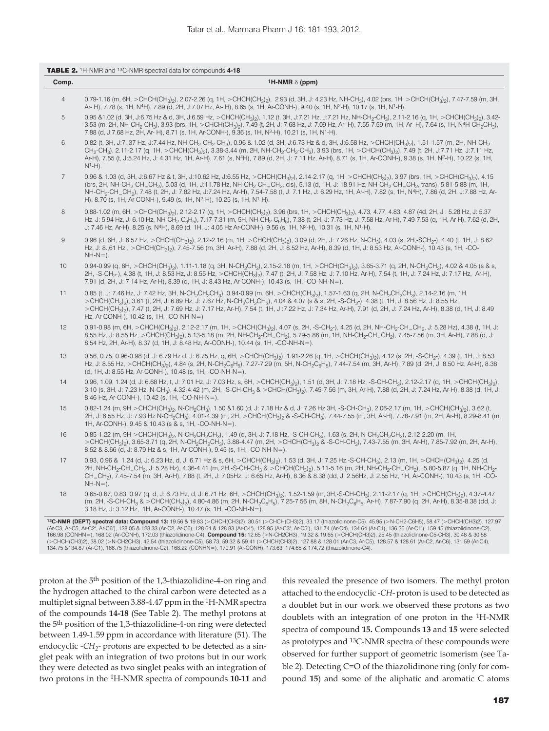| Comp.          | <sup>1</sup> H-NMR $\delta$ (ppm)                                                                                                                                                                                                                                                                                                                                                                                                                                                                                                                                                                                                                                                                                                                                        |
|----------------|--------------------------------------------------------------------------------------------------------------------------------------------------------------------------------------------------------------------------------------------------------------------------------------------------------------------------------------------------------------------------------------------------------------------------------------------------------------------------------------------------------------------------------------------------------------------------------------------------------------------------------------------------------------------------------------------------------------------------------------------------------------------------|
| 4              | 0.79-1.16 (m, 6H, >CHCH(CH <sub>3</sub> ) <sub>2</sub> ), 2.07-2.26 (q, 1H, >CHCH(CH <sub>3</sub> ) <sub>2</sub> ), 2.93 (d, 3H, J: 4.23 Hz, NH-CH <sub>3</sub> ), 4.02 (brs, 1H, >CHCH(CH <sub>3</sub> ) <sub>2</sub> ), 7.47-7.59 (m, 3H,<br>Ar- H), 7.78 (s, 1H, N <sup>4</sup> H), 7.89 (d, 2H, J:7.07 Hz, Ar- H), 8.65 (s, 1H, Ar-CONH-), 9.40 (s, 1H, N <sup>2</sup> -H), 10.17 (s, 1H, N <sup>1</sup> -H).                                                                                                                                                                                                                                                                                                                                                        |
| 5              | 0.95 & 1.02 (d, 3H, J:6.75 Hz & d, 3H, J:6.59 Hz, >CHCH(CH <sub>3</sub> ) <sub>2</sub> ), 1.12 (t, 3H, J:7.21 Hz, J:7.21 Hz, NH-CH <sub>2</sub> -CH <sub>3</sub> ), 2.11-2.16 (q, 1H, >CHCH(CH <sub>3</sub> ) <sub>2</sub> ), 3.42-<br>3.53 (m, 2H, NH-CH <sub>2</sub> -CH <sub>3</sub> ), 3.93 (brs, 1H, >CHCH(CH <sub>3</sub> ) <sub>2</sub> ), 7.49 (t, 2H, J: 7.68 Hz, J: 7.09 Hz, Ar- H), 7.55-7.59 (m, 1H, Ar- H), 7.64 (s, 1H, N <sup>4</sup> H-CH <sub>2</sub> CH <sub>3</sub> ),<br>7.88 (d, J:7.68 Hz, 2H, Ar- H), 8.71 (s, 1H, Ar-CONH-), 9.36 (s, 1H, N <sup>2</sup> -H), 10.21 (s, 1H, N <sup>1</sup> -H).                                                                                                                                                  |
| 6              | 0.82 (t, 3H, J:7.,37 Hz, J:7.44 Hz, NH-CH <sub>2</sub> -CH <sub>2</sub> -CH <sub>3</sub> ), 0.96 & 1.02 (d, 3H, J:6.73 Hz & d, 3H, J:6.58 Hz, >CHCH(CH <sub>3</sub> ) <sub>2</sub> ), 1.51-1.57 (m, 2H, NH-CH <sub>2</sub> -<br>CH <sub>2</sub> -CH <sub>3</sub> ), 2.11-2.17 (q, 1H, >CHCH(CH <sub>3</sub> ) <sub>2</sub> ), 3.38-3.44 (m, 2H, NH-CH <sub>2</sub> -CH <sub>2</sub> -CH <sub>2</sub> ), 3.93 (brs, 1H, >CHCH(CH <sub>3</sub> ) <sub>2</sub> ), 7.49 (t, 2H, J:7.71 Hz, J:7.71 Hz, J:7.11 Hz,<br>Ar-H), 7.55 (t, J:5.24 Hz, J: 4.31 Hz, 1H, Ar-H), 7.61 (s, N <sup>4</sup> H), 7.89 (d, 2H, J: 7.11 Hz, Ar-H), 8.71 (s, 1H, Ar-CONH-), 9.38 (s, 1H, N <sup>2</sup> -H), 10.22 (s, 1H,<br>$N^1-H$ ).                                                       |
| $\overline{7}$ | 0.96 & 1.03 (d, 3H, J:6.67 Hz & t, 3H, J:10.62 Hz, J:6.55 Hz, >CHCH(CH <sub>3</sub> )), 2.14-2.17 (q, 1H, >CHCH(CH <sub>3</sub> )), 3.97 (brs, 1H, >CHCH(CH <sub>3</sub> ) <sub>2</sub> ), 4.15<br>(brs, 2H, NH-CH <sub>2</sub> -CH <sub>=</sub> CH <sub>2</sub> ), 5.03 (d, 1H, J:11.78 Hz, NH-CH <sub>2</sub> -CH <sub>=</sub> CH <sub>2</sub> , cis), 5.13 (d, 1H, J: 18.91 Hz, NH-CH <sub>2</sub> -CH <sub>=</sub> CH <sub>2</sub> , trans), 5.81-5.88 (m, 1H,<br>NH-CH <sub>2</sub> -CH_CH <sub>2</sub> ), 7.48 (t, 2H, J: 7.82 Hz, J:7.24 Hz, Ar-H), 7.54-7.58 (t, J: 7.1 Hz, J: 6.29 Hz, 1H, Ar-H), 7.82 (s, 1H, N <sup>4</sup> H), 7.86 (d, 2H, J:7.88 Hz, Ar-<br>H), 8.70 (s, 1H, Ar-CONH-), 9.49 (s, 1H, N <sup>2</sup> -H), 10.25 (s, 1H, N <sup>1</sup> -H). |
| 8              | 0.88-1.02 (m, 6H, >CHCH(CH <sub>3</sub> ) <sub>2</sub> ), 2.12-2.17 (q, 1H, >CHCH(CH <sub>3</sub> ) <sub>2</sub> ), 3.96 (brs, 1H, >CHCH(CH <sub>3</sub> ) <sub>2</sub> ), 4.73, 4.77, 4.83, 4.87 (4d, 2H, J: 5.28 Hz, J: 5.37<br>Hz, J: 5.94 Hz, J: 6.10 Hz, NH-CH <sub>2</sub> -C <sub>6</sub> H <sub>5</sub> ), 7.17-7.31 (m, 5H, NH-CH <sub>2</sub> -C <sub>6</sub> H <sub>5</sub> ), 7.38 (t, 2H, J: 7.73 Hz, J: 7.58 Hz, Ar-H), 7.49-7.53 (q, 1H, Ar-H), 7.62 (d, 2H,<br>J: 7.46 Hz, Ar-H), 8.25 (s, N <sup>4</sup> H), 8.69 (d, 1H, J: 4.05 Hz Ar-CONH-), 9.56 (s, 1H, N <sup>2</sup> -H), 10.31 (s, 1H, N <sup>1</sup> -H).                                                                                                                                      |
| $\overline{9}$ | 0.96 (d, 6H, J: 6.57 Hz, >CHCH(CH <sub>3</sub> ) <sub>2</sub> ), 2.12-2.16 (m, 1H, >CHCH(CH <sub>3</sub> ) <sub>2</sub> ), 3.09 (d, 2H, J: 7.26 Hz, N-CH <sub>3</sub> ), 4.03 (s, 2H,-SCH <sub>2</sub> -), 4.40 (t, 1H, J: 8.62<br>Hz, J: 8.,61 Hz, >CHCH(CH <sub>3</sub> ) <sub>2</sub> ), 7.45-7.56 (m, 3H, Ar-H), 7.88 (d, 2H, J: 8.52 Hz, Ar-H), 8.39 (d, 1H, J: 8.53 Hz, Ar-CONH-), 10.43 (s, 1H, -CO-<br>$NH-N=$ ).                                                                                                                                                                                                                                                                                                                                                |
| 10             | 0.94-0.99 (q, 6H, >CHCH(CH <sub>3</sub> ) <sub>2</sub> ), 1.11-1.18 (q, 3H, N-CH <sub>2</sub> CH <sub>3</sub> ), 2.15-2.18 (m, 1H, >CHCH(CH <sub>3</sub> ) <sub>2</sub> ), 3.65-3.71 (q, 2H, N-CH <sub>2</sub> CH <sub>3</sub> ), 4.02 & 4.05 (s & s,<br>2H, -S-CH <sub>2</sub> -), 4.38 (t, 1H, J: 8.53 Hz, J: 8.55 Hz, >CHCH(CH <sub>3</sub> ) <sub>2</sub> ), 7.47 (t, 2H, J: 7.58 Hz, J: 7.10 Hz, Ar-H), 7.54 (t, 1H, J: 7.24 Hz, J: 7.17 Hz, Ar-H),<br>7.91 (d, 2H, J: 7.14 Hz, Ar-H), 8.39 (d, 1H, J: 8.43 Hz, Ar-CONH-), 10.43 (s, 1H, -CO-NH-N=).                                                                                                                                                                                                                |
| 11             | 0.85 (t, J: 7.46 Hz, J: 7.42 Hz, 3H, N-CH <sub>2</sub> CH <sub>3</sub> CH <sub>3</sub> ), 0.94-0.99 (m, 6H, >CHCH(CH <sub>3</sub> ) <sub>2</sub> ), 1.57-1.63 (q, 2H, N-CH <sub>2</sub> CH <sub>3</sub> CH <sub>3</sub> ), 2.14-2.16 (m, 1H,<br>>CHCH(CH <sub>3</sub> ) <sub>2</sub> ), 3.61 (t, 2H, J: 6.89 Hz, J: 7.67 Hz, N-CH <sub>2</sub> CH <sub>2</sub> ), 4.04 & 4.07 (s & s, 2H, -S-CH <sub>2</sub> -), 4.38 (t, 1H, J: 8.56 Hz, J: 8.55 Hz,<br>>CHCH(CH <sub>3</sub> ) <sub>2</sub> ), 7.47 (t, 2H, J: 7.69 Hz, J: 7.17 Hz, Ar-H), 7.54 (t, 1H, J:7.22 Hz, J: 7.34 Hz, Ar-H), 7.91 (d, 2H, J: 7.24 Hz, Ar-H), 8.38 (d, 1H, J: 8.49<br>Hz, Ar-CONH-), 10.42 (s, 1H, -CO-NH-N=)                                                                                  |
| 12             | 0.91-0.98 (m, 6H, >CHCH(CH <sub>3</sub> ) <sub>2</sub> ), 2.12-2.17 (m, 1H, >CHCH(CH <sub>3</sub> ) <sub>2</sub> ), 4.07 (s, 2H, -S-CH <sub>2</sub> -), 4.25 (d, 2H, NH-CH <sub>2</sub> -CH <sub>=</sub> CH <sub>2</sub> , J: 5.28 Hz), 4.38 (t, 1H, J:<br>8.55 Hz, J: 8.55 Hz, >CHCH(CH3)2), 5.13-5.18 (m, 2H, NH-CH <sub>2</sub> -CH <sub>=</sub> CH <sub>2</sub> ), 5.79-5.86 (m, 1H, NH-CH <sub>2</sub> -CH <sub>=</sub> CH <sub>2</sub> ), 7.45-7.56 (m, 3H, Ar-H), 7.88 (d, J:<br>8.54 Hz, 2H, Ar-H), 8.37 (d, 1H, J: 8.48 Hz, Ar-CONH-), 10.44 (s, 1H, -CO-NH-N=).                                                                                                                                                                                                |
| 13             | 0.56, 0.75, 0.96-0.98 (d, J: 6.79 Hz d, J: 6.75 Hz, q, 6H, >CHCH(CH <sub>3</sub> ), 1.91-2.26 (q, 1H, >CHCH(CH <sub>3</sub> ), 4.12 (s, 2H, -S-CH <sub>2</sub> -), 4.39 (t, 1H, J: 8.53<br>Hz, J: 8.55 Hz, >CHCH(CH <sub>3</sub> ) <sub>2</sub> ), 4.84 (s, 2H, N-CH <sub>2</sub> C <sub>6</sub> H <sub>5</sub> ), 7.27-7.29 (m, 5H, N-CH <sub>2</sub> C <sub>6</sub> H <sub>5</sub> ), 7.44-7.54 (m, 3H, Ar-H), 7.89 (d, 2H, J: 8.50 Hz, Ar-H), 8.38<br>(d, 1H, J: 8.55 Hz, Ar-CONH-), 10.48 (s, 1H, -CO-NH-N=).                                                                                                                                                                                                                                                        |
| 14             | 0.96, 1.09, 1.24 (d, J: 6.68 Hz, t, J: 7.01 Hz, J: 7.03 Hz, s, 6H, >CHCH(CH <sub>3</sub> ) <sub>2</sub> ), 1.51 (d, 3H, J: 7.18 Hz, -S-CH-CH <sub>3</sub> ), 2.12-2.17 (q, 1H, >CHCH(CH <sub>3</sub> ) <sub>2</sub> ),<br>3.10 (s, 3H, J: 7.23 Hz, N-CH <sub>3</sub> ), 4.32-4.42 (m, 2H, -S-CH-CH <sub>3</sub> & >CHCH(CH <sub>3</sub> ) <sub>2</sub> ), 7.45-7.56 (m, 3H, Ar-H), 7.88 (d, 2H, J: 7.24 Hz, Ar-H), 8.38 (d, 1H, J:<br>8.46 Hz, Ar-CONH-), 10.42 (s, 1H, -CO-NH-N=).                                                                                                                                                                                                                                                                                      |
| 15             | 0.82-1.24 (m, 9H > CHCH(CH <sub>3</sub> ) <sub>2</sub> , N-CH <sub>2</sub> CH <sub>3</sub> ), 1.50 & 1.60 (d, J: 7.18 Hz & d, J: 7.26 Hz 3H, -S-CH-CH <sub>3</sub> ), 2.06-2.17 (m, 1H, > CHCH(CH <sub>3</sub> ) <sub>2</sub> ), 3.62 (t,<br>2H, J: 6.55 Hz, J: 7.93 Hz N-CH <sub>2</sub> CH <sub>3</sub> ), 4.01-4.39 (m, 2H, >CHCH(CH <sub>3</sub> ) <sub>2</sub> & -S-CH-CH <sub>3</sub> ), 7.44-7.55 (m, 3H, Ar-H), 7.78-7.91 (m, 2H, Ar-H), 8.29-8.41 (m,<br>1H, Ar-CONH-), 9.45 & 10.43 (s & s, 1H, -CO-NH-N=).                                                                                                                                                                                                                                                    |
| 16             | 0.85-1.22 (m, 9H > CHCH(CH <sub>3</sub> ) <sub>2</sub> , N-CH <sub>2</sub> CH <sub>2</sub> OH <sub>3</sub> ), 1.49 (d, 3H, J: 7.18 Hz, -S-CH-CH <sub>3</sub> ), 1.63 (s, 2H, N-CH <sub>2</sub> CH <sub>2</sub> OH <sub>3</sub> ), 2.12-2.20 (m, 1H,<br>>CHCH(CH <sub>3</sub> ) <sub>2</sub> ), 3.65-3.71 (q, 2H, N-CH <sub>2</sub> CH <sub>3</sub> CH <sub>3</sub> ), 3.88-4.47 (m, 2H, >CHCH(CH <sub>3</sub> ) <sub>2</sub> & -S-CH-CH <sub>3</sub> ), 7.43-7.55 (m, 3H, Ar-H), 7.85-7.92 (m, 2H, Ar-H),<br>8.52 & 8.66 (d, J: 8.79 Hz & s, 1H, Ar-CONH-), 9.45 (s, 1H, -CO-NH-N=).                                                                                                                                                                                     |
| 17             | 0.93, 0.96 & 1.24 (d, J: 6.23 Hz, d, J: 6.71 Hz & s, 6H, >CHCH(CH <sub>3</sub> ), 1.53 (d, 3H, J: 7.25 Hz,-S-CH-CH <sub>3</sub> ), 2.13 (m, 1H, >CHCH(CH <sub>3</sub> ) <sub>2</sub> ), 4.25 (d,<br>2H, NH-CH <sub>2</sub> -CH <sub>=</sub> CH <sub>2</sub> , J: 5.28 Hz), 4.36-4.41 (m, 2H,-S-CH-CH <sub>3</sub> & >CHCH(CH <sub>3</sub> )2), 5.11-5.16 (m, 2H, NH-CH <sub>2</sub> -CH <sub>=</sub> CH <sub>2</sub> ), 5.80-5.87 (q, 1H, NH-CH <sub>2</sub> -<br>CH_CH <sub>2</sub> ), 7.45-7.54 (m, 3H, Ar-H), 7.88 (t, 2H, J: 7.05Hz, J: 6.65 Hz, Ar-H), 8.36 & 8.38 (dd, J: 2.56Hz, J: 2.55 Hz, 1H, Ar-CONH-), 10.43 (s, 1H, -CO-<br>$NH-N=$ ).                                                                                                                      |
| 18             | 0.65-0.67, 0.83, 0.97 (q, d, J: 6.73 Hz, d, J: 6.71 Hz, 6H, >CHCH(CH <sub>3</sub> ) <sub>2</sub> ), 1.52-1.59 (m, 3H,-S-CH-CH <sub>3</sub> ), 2.11-2.17 (q, 1H, >CHCH(CH <sub>3</sub> ) <sub>2</sub> ), 4.37-4.47<br>(m, 2H, -S-CH-CH <sub>3</sub> & >CHCH(CH <sub>3</sub> ) <sub>2</sub> ), 4.80-4.86 (m, 2H, N-CH <sub>2</sub> C <sub>6</sub> H <sub>5</sub> ), 7.25-7.56 (m, 8H, N-CH <sub>2</sub> C <sub>6</sub> H <sub>5</sub> , Ar-H), 7.87-7.90 (q, 2H, Ar-H), 8.35-8.38 (dd, J:<br>3.18 Hz, J: 3.12 Hz, 1H, Ar-CONH-), 10.47 (s, 1H, -CO-NH-N=).                                                                                                                                                                                                                 |

134.75 &134.87 (Ar-C1), 166.75 (thiazolidinone-C2), 168.22 (CONHN=), 170.91 (Ar-CONH), 173.63, 174.65 & 174,72 (thiazolidinone-C4).

proton at the 5th position of the 1,3-thiazolidine-4-on ring and the hydrogen attached to the chiral carbon were detected as a multiplet signal between 3.88-4.47 ppm in the 1H-NMR spectra of the compounds **14-18** (See Table 2). The methyl protons at the 5th position of the 1,3-thiazolidine-4-on ring were detected between 1.49-1.59 ppm in accordance with literature (51). The endocyclic -*CH*<sub>2</sub>- protons are expected to be detected as a singlet peak with an integration of two protons but in our work they were detected as two singlet peaks with an integration of two protons in the 1H-NMR spectra of compounds **10-11** and this revealed the presence of two isomers. The methyl proton attached to the endocyclic -*CH*- proton is used to be detected as a doublet but in our work we observed these protons as two doublets with an integration of one proton in the 1H-NMR spectra of compound **15.** Compounds **13** and **15** were selected as prototypes and 13C-NMR spectra of these compounds were observed for further support of geometric isomerism (see Table 2). Detecting C=O of the thiazolidinone ring (only for compound **15**) and some of the aliphatic and aromatic C atoms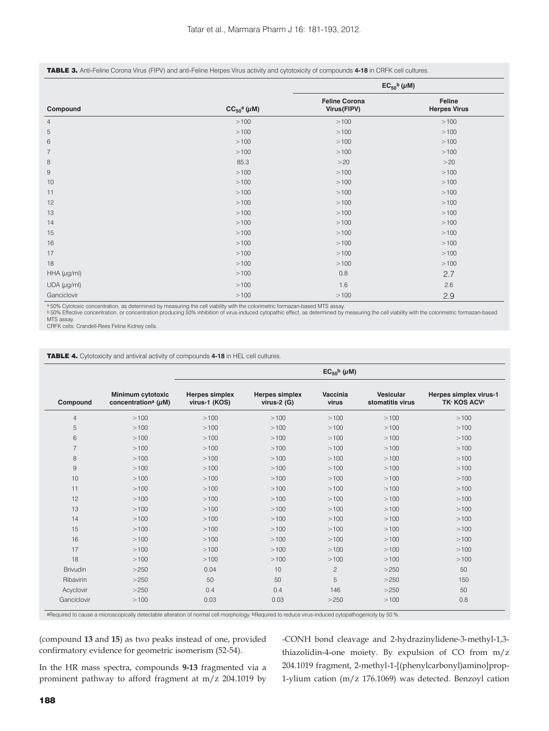#### TABLE 3. Anti-Feline Corona Virus (FIPV) and anti-Feline Herpes Virus activity and cytotoxicity of compounds **4-18** in CRFK cell cultures.

|                  |                        | $EC_{50}$ <sup>b</sup> ( $\mu$ M)   |                               |  |
|------------------|------------------------|-------------------------------------|-------------------------------|--|
| Compound         | $CC_{50}^a$ ( $\mu$ M) | <b>Feline Corona</b><br>Virus(FIPV) | Feline<br><b>Herpes Virus</b> |  |
| $\overline{4}$   | >100                   | >100                                | >100                          |  |
| 5                | >100                   | >100                                | >100                          |  |
| 6                | >100                   | >100                                | >100                          |  |
| $\overline{7}$   | >100                   | >100                                | >100                          |  |
| 8                | 85.3                   | >20                                 | >20                           |  |
| $\mathsf g$      | >100                   | >100                                | >100                          |  |
| 10               | >100                   | >100                                | >100                          |  |
| 11               | >100                   | >100                                | >100                          |  |
| 12               | >100                   | >100                                | >100                          |  |
| 13               | >100                   | >100                                | >100                          |  |
| 14               | >100                   | >100                                | >100                          |  |
| 15               | >100                   | >100                                | >100                          |  |
| 16               | >100                   | >100                                | >100                          |  |
| 17               | >100                   | >100                                | >100                          |  |
| 18               | >100                   | >100                                | >100                          |  |
| HHA $(\mu g/ml)$ | >100                   | 0.8                                 | 2.7                           |  |
| UDA (µg/ml)      | >100                   | 1.6                                 | 2.6                           |  |
| Ganciclovir      | >100                   | >100                                | 2.9                           |  |

ª50% Cytotoxic concentration, as determined by measuring the cell viability with the colorimetric formazan-based MTS assay.<br><sup>b</sup> 50% Effective concentration, or concentration producing 50% inhibition of virus-induced cytopa

MTS assay. CRFK cells: Crandell-Rees Feline Kidney cells.

| <b>TABLE 4.</b> Cytotoxicity and antiviral activity of compounds 4-18 in HEL cell cultures. |  |
|---------------------------------------------------------------------------------------------|--|
|---------------------------------------------------------------------------------------------|--|

| Compound        | Minimum cytotoxic<br>concentration <sup>a</sup> ( $\mu$ M) | <b>Herpes simplex</b><br>virus-1 (KOS) | <b>Herpes simplex</b><br>virus- $2(G)$ | Vaccinia<br>virus | <b>Vesicular</b><br>stomatitis virus | Herpes simplex virus-1<br><b>TK-KOS ACVr</b> |
|-----------------|------------------------------------------------------------|----------------------------------------|----------------------------------------|-------------------|--------------------------------------|----------------------------------------------|
| $\overline{4}$  | >100                                                       | >100                                   | >100                                   | >100              | >100                                 | >100                                         |
| 5               | >100                                                       | >100                                   | >100                                   | >100              | >100                                 | >100                                         |
| 6               | >100                                                       | >100                                   | >100                                   | >100              | >100                                 | >100                                         |
| $\overline{7}$  | >100                                                       | >100                                   | >100                                   | >100              | >100                                 | >100                                         |
| 8               | >100                                                       | >100                                   | >100                                   | >100              | >100                                 | >100                                         |
| $\overline{9}$  | >100                                                       | >100                                   | >100                                   | >100              | >100                                 | >100                                         |
| 10              | >100                                                       | >100                                   | >100                                   | >100              | >100                                 | >100                                         |
| 11              | >100                                                       | >100                                   | >100                                   | >100              | >100                                 | >100                                         |
| 12              | >100                                                       | >100                                   | >100                                   | >100              | >100                                 | >100                                         |
| 13              | >100                                                       | >100                                   | >100                                   | >100              | >100                                 | >100                                         |
| 14              | >100                                                       | >100                                   | >100                                   | >100              | >100                                 | >100                                         |
| 15              | >100                                                       | >100                                   | >100                                   | >100              | >100                                 | >100                                         |
| 16              | >100                                                       | >100                                   | >100                                   | >100              | >100                                 | >100                                         |
| 17              | >100                                                       | >100                                   | >100                                   | >100              | >100                                 | >100                                         |
| 18              | >100                                                       | >100                                   | >100                                   | >100              | >100                                 | >100                                         |
| <b>Brivudin</b> | >250                                                       | 0.04                                   | 10                                     | $\overline{c}$    | >250                                 | 50                                           |
| Ribavirin       | >250                                                       | 50                                     | 50                                     | 5                 | >250                                 | 150                                          |
| Acyclovir       | >250                                                       | 0.4                                    | 0.4                                    | 146               | >250                                 | 50                                           |
| Ganciclovir     | >100                                                       | 0.03                                   | 0.03                                   | >250              | >100                                 | 0.8                                          |

aRequired to cause a microscopically detectable alteration of normal cell morphology. bRequired to reduce virus-induced cytopathogenicity by 50 %.

(compound **13** and **15**) as two peaks instead of one, provided confirmatory evidence for geometric isomerism (52-54).

-CONH bond cleavage and 2-hydrazinylidene-3-methyl-1,3 thiazolidin-4-one moiety. By expulsion of CO from m/z 204.1019 fragment, 2-methyl-1-[(phenylcarbonyl)amino]prop-1-ylium cation (m/z 176.1069) was detected. Benzoyl cation

In the HR mass spectra, compounds **9-13** fragmented via a prominent pathway to afford fragment at m/z 204.1019 by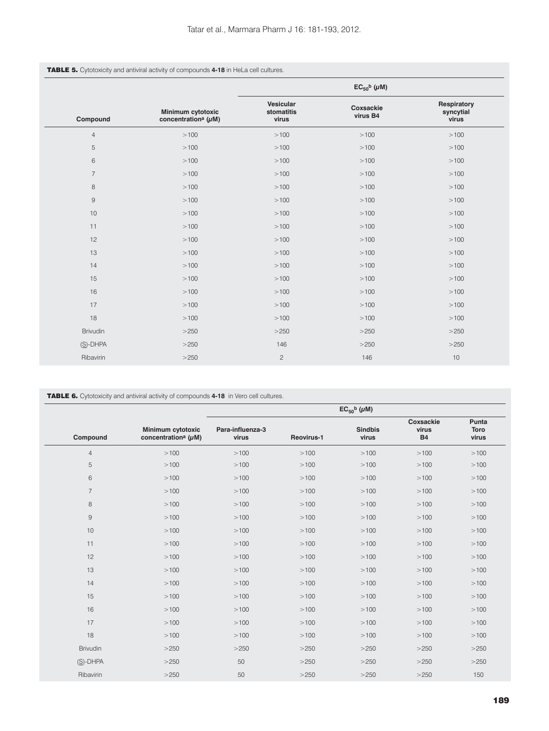| <b>TABLE 5.</b> Cytotoxicity and antiviral activity of compounds 4-18 in HeLa cell cultures. |
|----------------------------------------------------------------------------------------------|
|----------------------------------------------------------------------------------------------|

|                 |                                                            | $EC_{50}$ <sup>b</sup> ( $\mu$ M) |                       |                                   |  |
|-----------------|------------------------------------------------------------|-----------------------------------|-----------------------|-----------------------------------|--|
| Compound        | Minimum cytotoxic<br>concentration <sup>a</sup> ( $\mu$ M) | Vesicular<br>stomatitis<br>virus  | Coxsackie<br>virus B4 | Respiratory<br>syncytial<br>virus |  |
| $\overline{4}$  | >100                                                       | >100                              | >100                  | >100                              |  |
| 5               | >100                                                       | >100                              | >100                  | >100                              |  |
| 6               | >100                                                       | >100                              | >100                  | >100                              |  |
| $\overline{7}$  | >100                                                       | >100                              | >100                  | >100                              |  |
| 8               | >100                                                       | >100                              | >100                  | >100                              |  |
| 9               | >100                                                       | >100                              | >100                  | >100                              |  |
| 10              | >100                                                       | >100                              | >100                  | >100                              |  |
| 11              | >100                                                       | >100                              | >100                  | >100                              |  |
| 12              | >100                                                       | >100                              | >100                  | >100                              |  |
| 13              | >100                                                       | >100                              | >100                  | >100                              |  |
| 14              | >100                                                       | >100                              | >100                  | >100                              |  |
| 15              | >100                                                       | >100                              | >100                  | >100                              |  |
| 16              | >100                                                       | >100                              | >100                  | >100                              |  |
| 17              | >100                                                       | >100                              | >100                  | >100                              |  |
| 18              | >100                                                       | >100                              | >100                  | >100                              |  |
| <b>Brivudin</b> | >250                                                       | >250                              | >250                  | >250                              |  |
| $(S)$ -DHPA     | >250                                                       | 146                               | >250                  | >250                              |  |
| Ribavirin       | >250                                                       | $\overline{c}$                    | 146                   | 10                                |  |

TABLE 6. Cytotoxicity and antiviral activity of compounds **4-18** in Vero cell cultures.

|                |                                                            |                           |            | $EC_{50}$ <sup>b</sup> ( $\mu$ M) |                                 |                               |
|----------------|------------------------------------------------------------|---------------------------|------------|-----------------------------------|---------------------------------|-------------------------------|
| Compound       | Minimum cytotoxic<br>concentration <sup>a</sup> ( $\mu$ M) | Para-influenza-3<br>virus | Reovirus-1 | <b>Sindbis</b><br>virus           | Coxsackie<br>virus<br><b>B4</b> | Punta<br><b>Toro</b><br>virus |
| $\overline{4}$ | >100                                                       | >100                      | >100       | >100                              | >100                            | >100                          |
| 5              | >100                                                       | >100                      | >100       | >100                              | >100                            | >100                          |
| 6              | >100                                                       | >100                      | >100       | >100                              | >100                            | >100                          |
| $\overline{7}$ | >100                                                       | >100                      | >100       | >100                              | >100                            | >100                          |
| 8              | >100                                                       | >100                      | >100       | >100                              | >100                            | >100                          |
| $\overline{9}$ | >100                                                       | >100                      | >100       | >100                              | >100                            | >100                          |
| 10             | >100                                                       | >100                      | >100       | >100                              | >100                            | >100                          |
| 11             | >100                                                       | >100                      | >100       | >100                              | >100                            | >100                          |
| 12             | >100                                                       | >100                      | >100       | >100                              | >100                            | >100                          |
| 13             | >100                                                       | >100                      | >100       | >100                              | >100                            | >100                          |
| 14             | >100                                                       | >100                      | >100       | >100                              | >100                            | >100                          |
| 15             | >100                                                       | >100                      | >100       | >100                              | >100                            | >100                          |
| 16             | >100                                                       | >100                      | >100       | >100                              | >100                            | >100                          |
| 17             | >100                                                       | >100                      | >100       | >100                              | >100                            | >100                          |
| 18             | >100                                                       | >100                      | >100       | >100                              | >100                            | >100                          |
| Brivudin       | >250                                                       | >250                      | >250       | >250                              | >250                            | >250                          |
| (S)-DHPA       | >250                                                       | 50                        | >250       | >250                              | >250                            | >250                          |
| Ribavirin      | >250                                                       | 50                        | >250       | >250                              | >250                            | 150                           |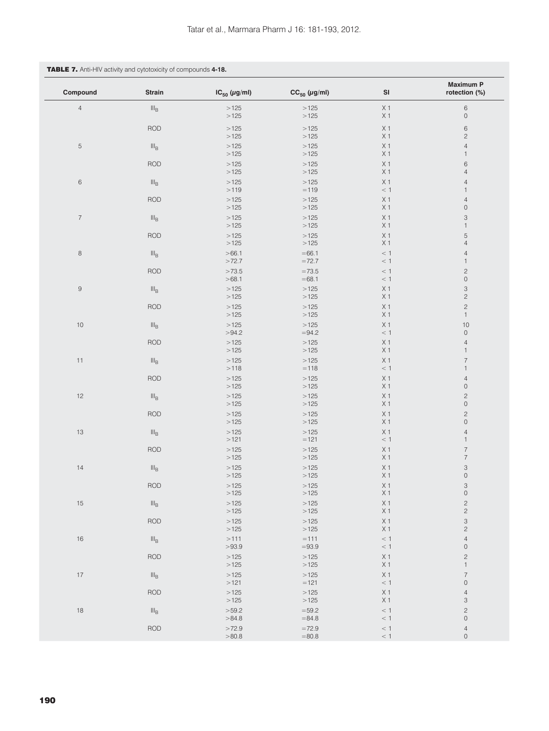# TABLE 7. Anti-HIV activity and cytotoxicity of compounds **4-18.**

| Compound         | Strain                      | $IC_{50}$ (µg/ml) | $CC_{50}$ (µg/ml)  | $\mathsf{SI}$                    | <b>Maximum P</b><br>rotection (%)         |
|------------------|-----------------------------|-------------------|--------------------|----------------------------------|-------------------------------------------|
| $\overline{4}$   | $\rm III_B$                 | >125<br>>125      | >125<br>>125       | X <sub>1</sub><br>X <sub>1</sub> | $\,6\,$<br>$\mathsf{O}\xspace$            |
|                  | <b>ROD</b>                  | >125<br>>125      | >125<br>>125       | X <sub>1</sub><br>X <sub>1</sub> | $\,6$<br>$\mathbf{2}$                     |
| $\mathbf 5$      | $\rm III_B$                 | >125<br>>125      | >125<br>>125       | X <sub>1</sub><br>X <sub>1</sub> | $\overline{4}$<br>$\mathbf{1}$            |
|                  | <b>ROD</b>                  | >125<br>>125      | >125<br>>125       | X <sub>1</sub><br>X <sub>1</sub> | 6<br>$\overline{4}$                       |
| $\,$ 6 $\,$      | $\rm{III}_B$                | >125<br>>119      | >125<br>$=119$     | X <sub>1</sub><br>$\,<\,1$       | $\sqrt{4}$<br>$\mathbf{1}$                |
|                  | <b>ROD</b>                  | >125<br>>125      | >125<br>>125       | X <sub>1</sub><br>X <sub>1</sub> | $\sqrt{4}$<br>$\mathsf{O}\xspace$         |
| $\boldsymbol{7}$ | $\rm{III}_B$                | >125<br>>125      | >125<br>>125       | X <sub>1</sub><br>X <sub>1</sub> | 3<br>$\mathbf{1}$                         |
|                  | <b>ROD</b>                  | >125<br>>125      | >125<br>>125       | X <sub>1</sub><br>X <sub>1</sub> | 5<br>$\overline{4}$                       |
| $\,$ 8 $\,$      | $\rm{III}_B$                | >66.1<br>>72.7    | $=66.1$<br>$=72.7$ | $\,<\,1$<br>$\,<\,1$             | $\overline{4}$<br>$\mathbf{1}$            |
|                  | <b>ROD</b>                  | >73.5<br>>68.1    | $=73.5$<br>$=68.1$ | < 1<br>$\,<\,1$                  | $\mathbf{2}$<br>$\mathsf{O}\xspace$       |
| $\mathsf 9$      | $\mathsf{III}_\mathsf{B}$   | >125<br>>125      | >125<br>>125       | X <sub>1</sub><br>X <sub>1</sub> | $\ensuremath{\mathsf{3}}$<br>$\mathbf{c}$ |
|                  | <b>ROD</b>                  | >125<br>>125      | >125<br>>125       | X <sub>1</sub><br>X <sub>1</sub> | $\overline{c}$<br>$\mathbf{1}$            |
| $10$             | $\mathsf{III}_\mathsf{B}$   | >125<br>>94.2     | >125<br>$=94.2$    | X <sub>1</sub><br>$\,<\,1$       | 10<br>$\mathsf{O}\xspace$                 |
|                  | <b>ROD</b>                  | >125<br>>125      | >125<br>>125       | X <sub>1</sub><br>X <sub>1</sub> | $\overline{4}$<br>$\mathbf{1}$            |
| $11$             | $\mathsf{III}_\mathsf{B}$   | >125              | >125               | X <sub>1</sub>                   | $\overline{7}$                            |
|                  | <b>ROD</b>                  | >118<br>>125      | $=118$<br>>125     | $\,<\,1$<br>X <sub>1</sub>       | $\mathbf{1}$<br>$\overline{4}$            |
| 12               | $\mathsf{III}_\mathsf{B}$   | >125<br>>125      | >125<br>>125       | X <sub>1</sub><br>X <sub>1</sub> | $\mathsf{O}\xspace$<br>$\sqrt{2}$         |
|                  | <b>ROD</b>                  | >125<br>>125      | >125<br>>125       | X <sub>1</sub><br>X <sub>1</sub> | $\mathsf{O}\xspace$<br>$\mathbf{2}$       |
| 13               | $\mathsf{III}_\mathsf{B}$   | >125<br>>125      | >125<br>>125       | X <sub>1</sub><br>X <sub>1</sub> | $\mathsf{O}\xspace$<br>$\sqrt{4}$         |
|                  | <b>ROD</b>                  | >121<br>>125      | $=121$<br>>125     | $\,<\,1$<br>X <sub>1</sub>       | $\mathbf{1}$<br>$\overline{7}$            |
| 14               | $\rm III_B$                 | >125<br>>125      | >125<br>>125       | X <sub>1</sub><br>X <sub>1</sub> | $\boldsymbol{7}$<br>3                     |
|                  | <b>ROD</b>                  | >125<br>>125      | >125<br>>125       | X <sub>1</sub><br>X <sub>1</sub> | $\mathsf{O}\xspace$<br>3                  |
| 15               | $\mathsf{III}_{\mathsf{B}}$ | >125<br>>125      | >125<br>>125       | X <sub>1</sub><br>X <sub>1</sub> | $\mathsf{O}\xspace$<br>$\mathbf{c}$       |
|                  | <b>ROD</b>                  | >125<br>>125      | >125<br>>125       | X <sub>1</sub><br>X <sub>1</sub> | $\sqrt{2}$<br>$\ensuremath{\mathsf{3}}$   |
| $16$             | $\rm{III}_B$                | >125<br>>111      | >125<br>$=111$     | X <sub>1</sub><br>< 1            | $\mathbf{2}$<br>$\overline{4}$            |
|                  | <b>ROD</b>                  | >93.9<br>>125     | $=93.9$<br>>125    | $\,<\,1$<br>X <sub>1</sub>       | $\mathsf{O}\xspace$<br>$\mathbf{c}$       |
| $17\,$           | III <sub>B</sub>            | >125<br>>125      | >125<br>>125       | X <sub>1</sub><br>X <sub>1</sub> | $\mathbf{1}$<br>$\boldsymbol{7}$          |
|                  | <b>ROD</b>                  | >121<br>>125      | $=121$<br>>125     | $\,<\,1$<br>X <sub>1</sub>       | $\mathsf{O}\xspace$<br>$\overline{4}$     |
|                  |                             | >125<br>>59.2     | >125<br>$=59.2$    | X <sub>1</sub><br>< 1            | 3                                         |
| 18               | $\mathsf{III}_\mathsf{B}$   | >84.8             | $= 84.8$           | $\,<\,1$                         | $\mathbf{2}$<br>$\mathsf{O}\xspace$       |
|                  | <b>ROD</b>                  | >72.9<br>>80.8    | $=72.9$<br>$=80.8$ | $\,<\,1$<br>< 1                  | $\overline{4}$<br>$\mathsf{O}\xspace$     |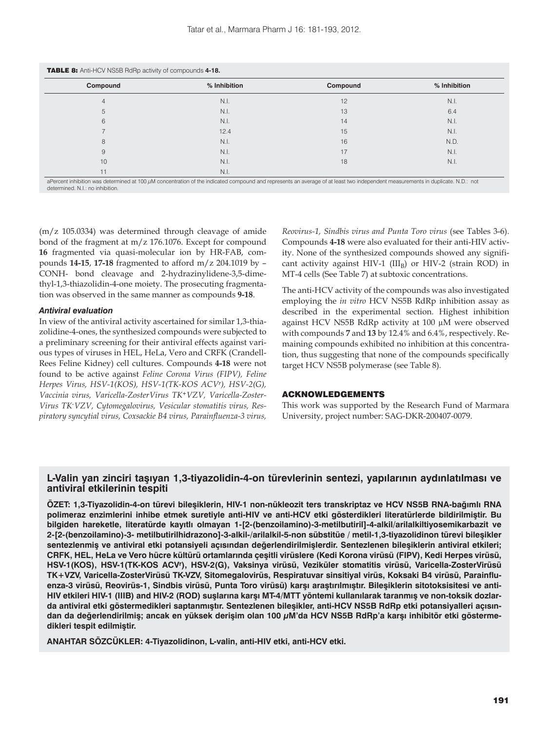| Compound | % Inhibition | Compound | % Inhibition |
|----------|--------------|----------|--------------|
| 4        | N.I.         | 12       | N.I.         |
| 5        | N.I.         | 13       | 6.4          |
| 6        | N.I.         | 14       | N.I.         |
|          | 12.4         | 15       | N.I.         |
| 8        | N.I.         | 16       | N.D.         |
| 9        | N.I.         | 17       | N.I.         |
| 10       | N.I.         | 18       | N.I.         |
| 11       | N.I.         |          |              |

aPercent inhibition was determined at 100 μM concentration of the indicated compound and represents an average of at least two independent measurements in duplicate. N.D.: not determined. N.I.: no inhibition.

(m/z 105.0334) was determined through cleavage of amide bond of the fragment at m/z 176.1076. Except for compound **16** fragmented via quasi-molecular ion by HR-FAB, compounds **14-15**, **17-18** fragmented to afford m/z 204.1019 by – CONH- bond cleavage and 2-hydrazinylidene-3,5-dimethyl-1,3-thiazolidin-4-one moiety. The prosecuting fragmentation was observed in the same manner as compounds **9-18**.

## *Antiviral evaluation*

In view of the antiviral activity ascertained for similar 1,3-thiazolidine-4-ones, the synthesized compounds were subjected to a preliminary screening for their antiviral effects against various types of viruses in HEL, HeLa, Vero and CRFK (Crandell-Rees Feline Kidney) cell cultures. Compounds **4-18** were not found to be active against *Feline Corona Virus (FIPV), Feline Herpes Virus, HSV-1(KOS), HSV-1(TK-KOS ACVr), HSV-2(G), Vaccinia virus, Varicella-ZosterVirus TK+VZV, Varicella-Zoster-*Virus TK-VZV, Cytomegalovirus, Vesicular stomatitis virus, Res*piratory syncytial virus, Coxsackie B4 virus, Parainfluenza-3 virus,* 

*Reovirus-1, Sindbis virus and Punta Toro virus* (see Tables 3-6). Compounds **4-18** were also evaluated for their anti-HIV activity. None of the synthesized compounds showed any significant activity against HIV-1  $(III_B)$  or HIV-2 (strain ROD) in MT-4 cells (See Table 7) at subtoxic concentrations.

The anti-HCV activity of the compounds was also investigated employing the *in vitro* HCV NS5B RdRp inhibition assay as described in the experimental section. Highest inhibition against HCV NS5B RdRp activity at 100 μM were observed with compounds **7** and **13** by 12.4% and 6.4%, respectively. Remaining compounds exhibited no inhibition at this concentration, thus suggesting that none of the compounds specifically target HCV NS5B polymerase (see Table 8)*.* 

## ACKNOWLEDGEMENTS

This work was supported by the Research Fund of Marmara University, project number: SAG-DKR-200407-0079.

# **L-Valin yan zinciri taşıyan 1,3-tiyazolidin-4-on türevlerinin sentezi, yapılarının aydınlatılması ve antiviral etkilerinin tespiti**

**ÖZET: 1,3-Tiyazolidin-4-on türevi bileşiklerin, HIV-1 non-nükleozit ters transkriptaz ve HCV NS5B RNA-bağımlı RNA polimeraz enzimlerini inhibe etmek suretiyle anti-HIV ve anti-HCV etki gösterdikleri literatürlerde bildirilmiştir. Bu bilgiden hareketle, literatürde kayıtlı olmayan 1-[2-(benzoilamino)-3-metilbutiril]-4-alkil/arilalkiltiyosemikarbazit ve 2-[2-(benzoilamino)-3- metilbutirilhidrazono]-3-alkil-/arilalkil-5-non sübstitüe / metil-1,3-tiyazolidinon türevi bileşikler sentezlenmiş ve antiviral etki potansiyeli açısından değerlendirilmişlerdir. Sentezlenen bileşiklerin antiviral etkileri; CRFK, HEL, HeLa ve Vero hücre kültürü ortamlarında çeşitli virüslere (Kedi Korona virüsü (FIPV), Kedi Herpes virüsü, HSV-1(KOS), HSV-1(TK-KOS ACVr), HSV-2(G), Vaksinya virüsü, Veziküler stomatitis virüsü, Varicella-ZosterVirüsü TK+VZV, Varicella-ZosterVirüsü TK-VZV, Sitomegalovirüs, Respiratuvar sinsitiyal virüs, Koksaki B4 virüsü, Parainfluenza-3 virüsü, Reovirüs-1, Sindbis virüsü, Punta Toro virüsü) karşı araştırılmıştır. Bileşiklerin sitotoksisitesi ve anti-HIV etkileri HIV-1 (IIIB) and HIV-2 (ROD) suşlarına karşı MT-4/MTT yöntemi kullanılarak taranmış ve non-toksik dozlarda antiviral etki göstermedikleri saptanmıştır. Sentezlenen bileşikler, anti-HCV NS5B RdRp etki potansiyalleri açısından da değerlendirilmiş; ancak en yüksek derişim olan 100 μM'da HCV NS5B RdRp'a karşı inhibitör etki göstermedikleri tespit edilmiştir.**

**ANAHTAR SÖZCÜKLER: 4-Tiyazolidinon, L-valin, anti-HIV etki, anti-HCV etki.**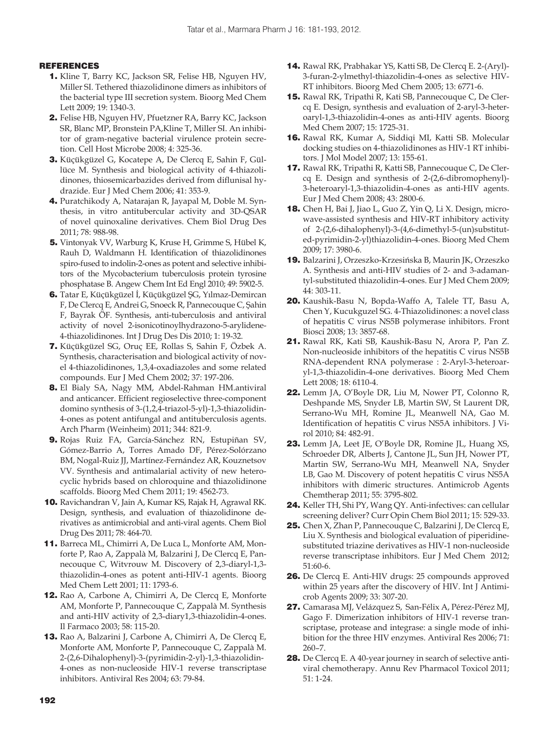# REFERENCES

- 1. Kline T, Barry KC, Jackson SR, Felise HB, Nguyen HV, Miller SI. Tethered thiazolidinone dimers as inhibitors of the bacterial type III secretion system. Bioorg Med Chem Lett 2009; 19: 1340-3.
- 2. Felise HB, Nguyen HV, Pfuetzner RA, Barry KC, Jackson SR, Blanc MP, Bronstein PA,Kline T, Miller SI. An inhibitor of gram-negative bacterial virulence protein secretion. Cell Host Microbe 2008; 4: 325-36.
- 3. Küçükgüzel G, Kocatepe A, De Clercq E, Sahin F, Güllüce M. Synthesis and biological activity of 4-thiazolidinones, thiosemicarbazides derived from diflunisal hydrazide. Eur J Med Chem 2006; 41: 353-9.
- 4. Puratchikody A, Natarajan R, Jayapal M, Doble M. Synthesis, in vitro antitubercular activity and 3D-QSAR of novel quinoxaline derivatives. Chem Biol Drug Des 2011; 78: 988-98.
- 5. Vintonyak VV, Warburg K, Kruse H, Grimme S, Hübel K, Rauh D, Waldmann H. Identification of thiazolidinones spiro-fused to indolin-2-ones as potent and selective inhibitors of the Mycobacterium tuberculosis protein tyrosine phosphatase B. Angew Chem Int Ed Engl 2010; 49: 5902-5.
- 6. Tatar E, Küçükgüzel İ, Küçükgüzel ŞG, Yılmaz-Demircan F, De Clercq E, Andrei G, Snoeck R, Pannecouque C, Şahin F, Bayrak ÖF. Synthesis, anti-tuberculosis and antiviral activity of novel 2-isonicotinoylhydrazono-5-arylidene-4-thiazolidinones. Int J Drug Des Dis 2010; 1: 19-32.
- 7. Küçükgüzel SG, Oruç EE, Rollas S, Sahin F, Özbek A. Synthesis, characterisation and biological activity of novel 4-thiazolidinones, 1,3,4-oxadiazoles and some related compounds. Eur J Med Chem 2002; 37: 197-206.
- 8. El Bialy SA, Nagy MM, Abdel-Rahman HM.antiviral and anticancer. Efficient regioselective three-component domino synthesis of 3-(1,2,4-triazol-5-yl)-1,3-thiazolidin-4-ones as potent antifungal and antituberculosis agents. Arch Pharm (Weinheim) 2011; 344: 821-9.
- 9. Rojas Ruiz FA, García-Sánchez RN, Estupiñan SV, Gómez-Barrio A, Torres Amado DF, Pérez-Solórzano BM, Nogal-Ruiz JJ, Martínez-Fernández AR, Kouznetsov VV. Synthesis and antimalarial activity of new heterocyclic hybrids based on chloroquine and thiazolidinone scaffolds. Bioorg Med Chem 2011; 19: 4562-73.
- 10. Ravichandran V, Jain A, Kumar KS, Rajak H, Agrawal RK. Design, synthesis, and evaluation of thiazolidinone derivatives as antimicrobial and anti-viral agents. Chem Biol Drug Des 2011; 78: 464-70.
- 11. Barreca ML, Chimirri A, De Luca L, Monforte AM, Monforte P, Rao A, Zappalà M, Balzarini J, De Clercq E, Pannecouque C, Witvrouw M. Discovery of 2,3-diaryl-1,3 thiazolidin-4-ones as potent anti-HIV-1 agents. Bioorg Med Chem Lett 2001; 11: 1793-6.
- 12. Rao A, Carbone A, Chimirri A, De Clercq E, Monforte AM, Monforte P, Pannecouque C, Zappalà M. Synthesis and anti-HIV activity of 2,3-diary1,3-thiazolidin-4-ones. Il Farmaco 2003; 58: 115-20.
- 13. Rao A, Balzarini J, Carbone A, Chimirri A, De Clercq E, Monforte AM, Monforte P, Pannecouque C, Zappalà M. 2-(2,6-Dihalophenyl)-3-(pyrimidin-2-yl)-1,3-thiazolidin-4-ones as non-nucleoside HIV-1 reverse transcriptase inhibitors. Antiviral Res 2004; 63: 79-84.
- 14. Rawal RK, Prabhakar YS, Katti SB, De Clercq E. 2-(Aryl)- 3-furan-2-ylmethyl-thiazolidin-4-ones as selective HIV-RT inhibitors. Bioorg Med Chem 2005; 13: 6771-6.
- 15. Rawal RK, Tripathi R, Kati SB, Pannecouque C, De Clercq E. Design, synthesis and evaluation of 2-aryl-3-heteroaryl-1,3-thiazolidin-4-ones as anti-HIV agents. Bioorg Med Chem 2007; 15: 1725-31.
- 16. Rawal RK, Kumar A, Siddiqi MI, Katti SB. Molecular docking studies on 4-thiazolidinones as HIV-1 RT inhibitors. J Mol Model 2007; 13: 155-61.
- 17. Rawal RK, Tripathi R, Katti SB, Pannecouque C, De Clercq E. Design and synthesis of 2-(2,6-dibromophenyl)- 3-heteroaryl-1,3-thiazolidin-4-ones as anti-HIV agents. Eur J Med Chem 2008; 43: 2800-6.
- 18. Chen H, Bai J, Jiao L, Guo Z, Yin Q, Li X. Design, microwave-assisted synthesis and HIV-RT inhibitory activity of 2-(2,6-dihalophenyl)-3-(4,6-dimethyl-5-(un)substituted-pyrimidin-2-yl)thiazolidin-4-ones. Bioorg Med Chem 2009; 17: 3980-6.
- 19. Balzarini J, Orzeszko-Krzesińska B, Maurin JK, Orzeszko A. Synthesis and anti-HIV studies of 2- and 3-adamantyl-substituted thiazolidin-4-ones. Eur J Med Chem 2009; 44: 303-11.
- 20. Kaushik-Basu N, Bopda-Waffo A, Talele TT, Basu A, Chen Y, Kucukguzel SG. 4-Thiazolidinones: a novel class of hepatitis C virus NS5B polymerase inhibitors. Front Biosci 2008; 13: 3857-68.
- 21. Rawal RK, Kati SB, Kaushik-Basu N, Arora P, Pan Z. Non-nucleoside inhibitors of the hepatitis C virus NS5B RNA-dependent RNA polymerase : 2-Aryl-3-heteroaryl-1,3-thiazolidin-4-one derivatives. Bioorg Med Chem Lett 2008; 18: 6110-4.
- 22. Lemm JA, O'Boyle DR, Liu M, Nower PT, Colonno R, Deshpande MS, Snyder LB, Martin SW, St Laurent DR, Serrano-Wu MH, Romine JL, Meanwell NA, Gao M. Identification of hepatitis C virus NS5A inhibitors. J Virol 2010; 84: 482-91.
- 23. Lemm JA, Leet JE, O'Boyle DR, Romine JL, Huang XS, Schroeder DR, Alberts J, Cantone JL, Sun JH, Nower PT, Martin SW, Serrano-Wu MH, Meanwell NA, Snyder LB, Gao M. Discovery of potent hepatitis C virus NS5A inhibitors with dimeric structures. Antimicrob Agents Chemtherap 2011; 55: 3795-802.
- 24. Keller TH, Shi PY, Wang QY. Anti-infectives: can cellular screening deliver? Curr Opin Chem Biol 2011; 15: 529-33.
- 25. Chen X, Zhan P, Pannecouque C, Balzarini J, De Clercq E, Liu X. Synthesis and biological evaluation of piperidinesubstituted triazine derivatives as HIV-1 non-nucleoside reverse transcriptase inhibitors. Eur J Med Chem 2012; 51:60-6.
- 26. De Clercq E. Anti-HIV drugs: 25 compounds approved within 25 years after the discovery of HIV. Int J Antimicrob Agents 2009; 33: 307-20.
- 27. Camarasa MJ, Velázquez S, San-Félix A, Pérez-Pérez MJ, Gago F. Dimerization inhibitors of HIV-1 reverse transcriptase, protease and integrase: a single mode of inhibition for the three HIV enzymes. Antiviral Res 2006; 71: 260–7.
- 28. De Clercq E. A 40-year journey in search of selective antiviral chemotherapy. Annu Rev Pharmacol Toxicol 2011; 51: 1-24.